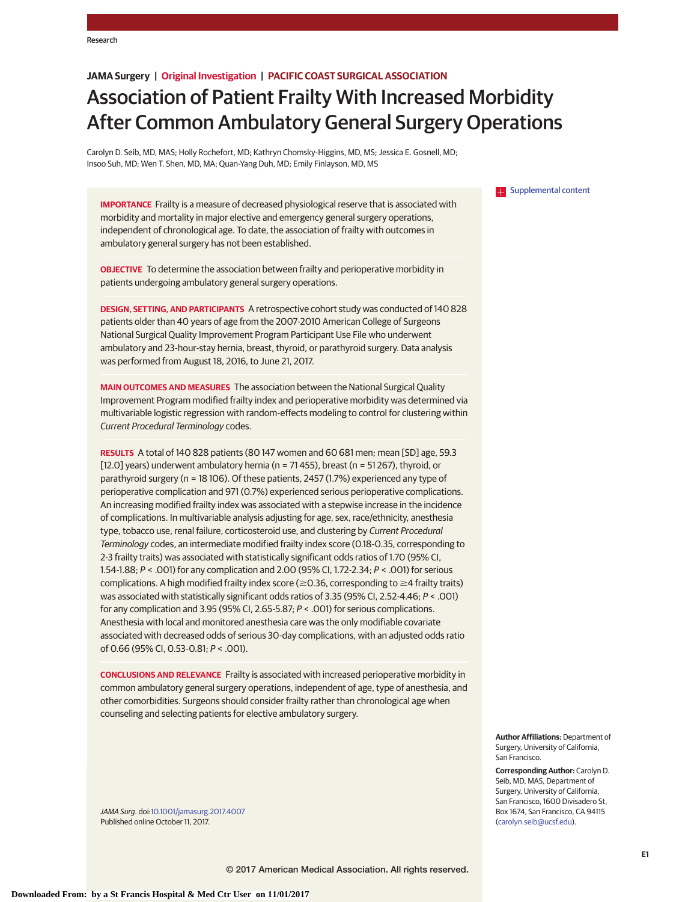# **JAMA Surgery | Original Investigation | PACIFIC COAST SURGICAL ASSOCIATION**

# Association of Patient Frailty With Increased Morbidity After Common Ambulatory General Surgery Operations

Carolyn D. Seib, MD, MAS; Holly Rochefort, MD; Kathryn Chomsky-Higgins, MD, MS; Jessica E. Gosnell, MD; Insoo Suh, MD; Wen T. Shen, MD, MA; Quan-Yang Duh, MD; Emily Finlayson, MD, MS

**IMPORTANCE** Frailty is a measure of decreased physiological reserve that is associated with morbidity and mortality in major elective and emergency general surgery operations, independent of chronological age. To date, the association of frailty with outcomes in ambulatory general surgery has not been established.

**OBJECTIVE** To determine the association between frailty and perioperative morbidity in patients undergoing ambulatory general surgery operations.

**DESIGN, SETTING, AND PARTICIPANTS** A retrospective cohort study was conducted of 140 828 patients older than 40 years of age from the 2007-2010 American College of Surgeons National Surgical Quality Improvement Program Participant Use File who underwent ambulatory and 23-hour-stay hernia, breast, thyroid, or parathyroid surgery. Data analysis was performed from August 18, 2016, to June 21, 2017.

**MAIN OUTCOMES AND MEASURES** The association between the National Surgical Quality Improvement Program modified frailty index and perioperative morbidity was determined via multivariable logistic regression with random-effects modeling to control for clustering within Current Procedural Terminology codes.

**RESULTS** A total of 140 828 patients (80 147 women and 60 681 men; mean [SD] age, 59.3 [12.0] years) underwent ambulatory hernia ( $n = 71455$ ), breast ( $n = 51267$ ), thyroid, or parathyroid surgery (n = 18 106). Of these patients, 2457 (1.7%) experienced any type of perioperative complication and 971 (0.7%) experienced serious perioperative complications. An increasing modified frailty index was associated with a stepwise increase in the incidence of complications. In multivariable analysis adjusting for age, sex, race/ethnicity, anesthesia type, tobacco use, renal failure, corticosteroid use, and clustering by Current Procedural Terminology codes, an intermediate modified frailty index score (0.18-0.35, corresponding to 2-3 frailty traits) was associated with statistically significant odds ratios of 1.70 (95% CI, 1.54-1.88; P < .001) for any complication and 2.00 (95% CI, 1.72-2.34; P < .001) for serious complications. A high modified frailty index score ( $\geq$  0.36, corresponding to  $\geq$ 4 frailty traits) was associated with statistically significant odds ratios of 3.35 (95% CI, 2.52-4.46; P < .001) for any complication and 3.95 (95% CI, 2.65-5.87; P < .001) for serious complications. Anesthesia with local and monitored anesthesia care was the only modifiable covariate associated with decreased odds of serious 30-day complications, with an adjusted odds ratio of 0.66 (95% CI, 0.53-0.81; P < .001).

**CONCLUSIONS AND RELEVANCE** Frailty is associated with increased perioperative morbidity in common ambulatory general surgery operations, independent of age, type of anesthesia, and other comorbidities. Surgeons should consider frailty rather than chronological age when counseling and selecting patients for elective ambulatory surgery.

JAMA Surg. doi[:10.1001/jamasurg.2017.4007](http://jama.jamanetwork.com/article.aspx?doi=10.1001/jamasurg.2017.4007&utm_campaign=articlePDF%26utm_medium=articlePDFlink%26utm_source=articlePDF%26utm_content=jamasurg.2017.4007) Published online October 11, 2017.

**[Supplemental content](http://jama.jamanetwork.com/article.aspx?doi=10.1001/jamasurg.2017.4007&utm_campaign=articlePDF%26utm_medium=articlePDFlink%26utm_source=articlePDF%26utm_content=jamasurg.2017.4007)** 

**Author Affiliations:** Department of Surgery, University of California, San Francisco.

**Corresponding Author:** Carolyn D. Seib, MD, MAS, Department of Surgery, University of California, San Francisco, 1600 Divisadero St, Box 1674, San Francisco, CA 94115 [\(carolyn.seib@ucsf.edu\)](mailto:carolyn.seib@ucsf.edu).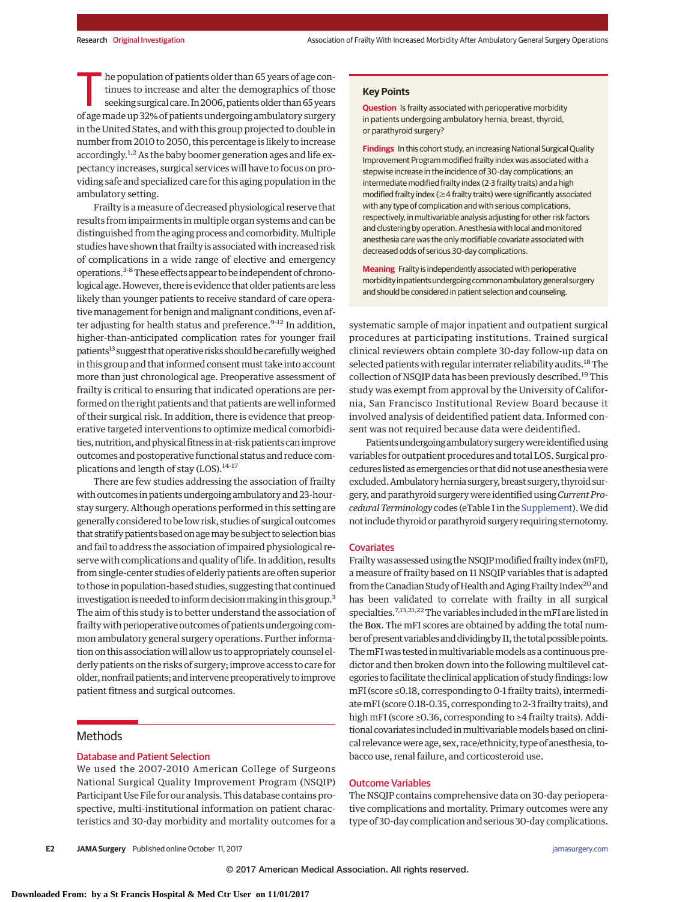**Question** Is frailty associated with perioperative morbidity in patients undergoing ambulatory hernia, breast, thyroid,

**Findings** In this cohort study, an increasing National Surgical Quality Improvement Program modified frailty index was associated with a stepwise increase in the incidence of 30-day complications; an intermediate modified frailty index (2-3 frailty traits) and a high modified frailty index ( $\geq$ 4 frailty traits) were significantly associated with any type of complication and with serious complications, respectively, in multivariable analysis adjusting for other risk factors and clustering by operation. Anesthesia with local and monitored anesthesia care was the only modifiable covariate associated with

**Key Points**

or parathyroid surgery?

The population of patients older than 65 years of age continues to increase and alter the demographics of those<br>seeking surgical care. In 2006, patients older than 65 years<br>of age made up 22% of patients undergoing ambulat tinues to increase and alter the demographics of those of agemade up 32% of patients undergoing ambulatory surgery in the United States, and with this group projected to double in number from 2010 to 2050, this percentage is likely to increase accordingly.<sup>1,2</sup> As the baby boomer generation ages and life expectancy increases, surgical services will have to focus on providing safe and specialized care for this aging population in the ambulatory setting.

Frailty is ameasure of decreased physiological reserve that results from impairments inmultiple organ systems and can be distinguished from the aging process and comorbidity.Multiple studies have shown that frailty is associated with increased risk of complications in a wide range of elective and emergency operations.<sup>3-8</sup> These effects appear to be independent of chronological age. However, there is evidence that older patients are less likely than younger patients to receive standard of care operative management for benign and malignant conditions, even after adjusting for health status and preference.<sup>9-12</sup> In addition, higher-than-anticipated complication rates for younger frail patients<sup>13</sup> suggest that operative risks should be carefully weighed in this group and that informed consent must take into account more than just chronological age. Preoperative assessment of frailty is critical to ensuring that indicated operations are performed on the right patients and that patients are well informed of their surgical risk. In addition, there is evidence that preoperative targeted interventions to optimize medical comorbidities, nutrition, and physical fitness in at-risk patients can improve outcomes and postoperative functional status and reduce complications and length of stay (LOS).<sup>14-17</sup>

There are few studies addressing the association of frailty with outcomes in patients undergoing ambulatory and 23-hourstay surgery. Although operations performed in this setting are generally considered to be low risk, studies of surgical outcomes that stratify patients based on age may be subject to selection bias and fail to address the association of impaired physiological reserve with complications and quality of life. In addition, results from single-center studies of elderly patients are often superior to those in population-based studies, suggesting that continued investigation is needed to inform decision making in this group.<sup>3</sup> The aim of this study is to better understand the association of frailty with perioperative outcomes of patients undergoing common ambulatory general surgery operations. Further information on this association will allow us to appropriately counsel elderly patients on the risks of surgery; improve access to care for older, nonfrail patients; and intervene preoperatively to improve patient fitness and surgical outcomes.

# **Methods**

## Database and Patient Selection

We used the 2007-2010 American College of Surgeons National Surgical Quality Improvement Program (NSQIP) Participant Use File for our analysis. This database contains prospective, multi-institutional information on patient characteristics and 30-day morbidity and mortality outcomes for a Frailty was assessed using the NSQIP modified frailty index (mFI), a measure of frailty based on 11 NSQIP variables that is adapted from the Canadian Study of Health and Aging Frailty Index<sup>20</sup> and has been validated to correlate with frailty in all surgical specialties.<sup>7,13,21,22</sup>The variables included in the mFI are listed in the Box. The mFI scores are obtained by adding the total number of present variables and dividing by 11, the total possible points. ThemFIwas tested inmultivariablemodels as a continuous predictor and then broken down into the following multilevel categories to facilitate the clinical application of study findings: low mFI (score ≤0.18, corresponding to 0-1 frailty traits), intermediatemFI (score 0.18-0.35, corresponding to 2-3 frailty traits), and high mFI (score ≥0.36, corresponding to ≥4 frailty traits). Additional covariates included in multivariable models based on clinical relevance were age, sex, race/ethnicity, type of anesthesia, tobacco use, renal failure, and corticosteroid use.

systematic sample of major inpatient and outpatient surgical procedures at participating institutions. Trained surgical clinical reviewers obtain complete 30-day follow-up data on selected patients with regular interrater reliability audits.<sup>18</sup> The collection of NSQIP data has been previously described.<sup>19</sup>This study was exempt from approval by the University of California, San Francisco Institutional Review Board because it involved analysis of deidentified patient data. Informed consent was not required because data were deidentified.

**Meaning** Frailty is independently associated with perioperative morbidity in patients undergoing common ambulatory general surgery and should be considered in patient selection and counseling.

decreased odds of serious 30-day complications.

Patients undergoing ambulatory surgery were identified using variables for outpatient procedures and total LOS. Surgical procedures listed as emergencies or that didnotuse anesthesiawere excluded. Ambulatory hernia surgery, breast surgery, thyroid surgery, and parathyroid surgerywere identified using*Current Procedural Terminology* codes (eTable 1 in the [Supplement\)](http://jama.jamanetwork.com/article.aspx?doi=10.1001/jamasurg.2017.4007&utm_campaign=articlePDF%26utm_medium=articlePDFlink%26utm_source=articlePDF%26utm_content=jamasurg.2017.4007).We did not include thyroid or parathyroid surgery requiring sternotomy.

### Outcome Variables

Covariates

The NSQIP contains comprehensive data on 30-day perioperative complications and mortality. Primary outcomes were any type of 30-day complication and serious 30-day complications.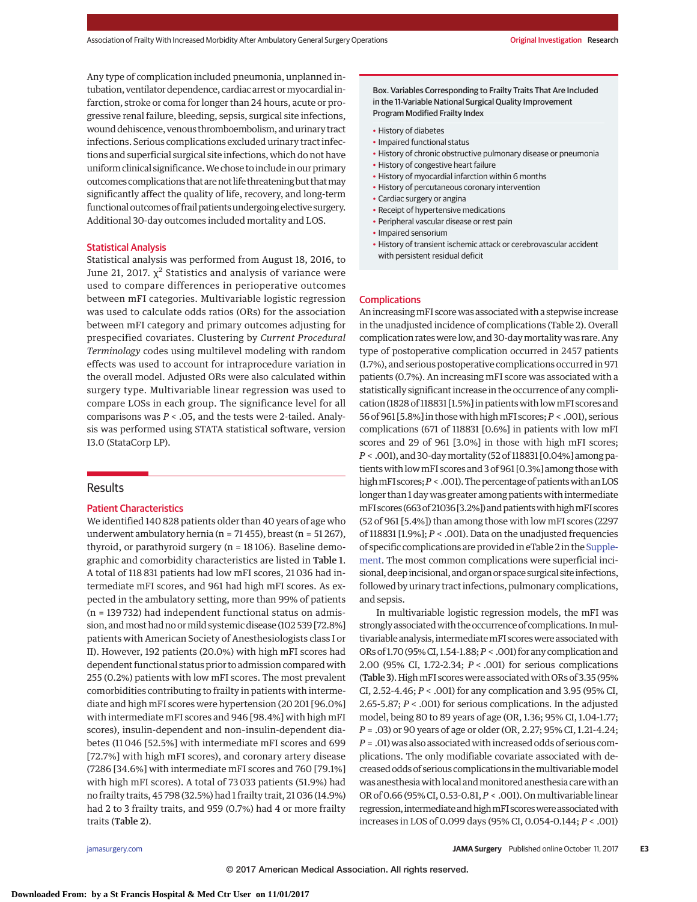Any type of complication included pneumonia, unplanned intubation, ventilator dependence, cardiac arrest or myocardial infarction, stroke or coma for longer than 24 hours, acute or progressive renal failure, bleeding, sepsis, surgical site infections, wound dehiscence, venous thromboembolism, and urinary tract infections. Serious complications excluded urinary tract infections and superficial surgical site infections, which do not have uniform clinical significance.We chose to include in our primary outcomes complications that are not life threatening but that may significantly affect the quality of life, recovery, and long-term functional outcomes of frail patients undergoing elective surgery. Additional 30-day outcomes included mortality and LOS.

#### Statistical Analysis

Statistical analysis was performed from August 18, 2016, to June 21, 2017.  $\chi^2$  Statistics and analysis of variance were used to compare differences in perioperative outcomes between mFI categories. Multivariable logistic regression was used to calculate odds ratios (ORs) for the association between mFI category and primary outcomes adjusting for prespecified covariates. Clustering by *Current Procedural Terminology* codes using multilevel modeling with random effects was used to account for intraprocedure variation in the overall model. Adjusted ORs were also calculated within surgery type. Multivariable linear regression was used to compare LOSs in each group. The significance level for all comparisons was *P* < .05, and the tests were 2-tailed. Analysis was performed using STATA statistical software, version 13.0 (StataCorp LP).

## Results

## Patient Characteristics

We identified 140 828 patients older than 40 years of age who underwent ambulatory hernia (n = 71 455), breast (n = 51 267), thyroid, or parathyroid surgery (n = 18 106). Baseline demographic and comorbidity characteristics are listed in Table 1. A total of 118 831 patients had low mFI scores, 21 036 had intermediate mFI scores, and 961 had high mFI scores. As expected in the ambulatory setting, more than 99% of patients (n = 139 732) had independent functional status on admission, and most had no or mild systemic disease (102 539 [72.8%] patients with American Society of Anesthesiologists class I or II). However, 192 patients (20.0%) with high mFI scores had dependent functional status prior to admission compared with 255 (0.2%) patients with low mFI scores. The most prevalent comorbidities contributing to frailty in patients with intermediate and high mFI scores were hypertension (20 201 [96.0%] with intermediate mFI scores and 946 [98.4%] with high mFI scores), insulin-dependent and non–insulin-dependent diabetes (11 046 [52.5%] with intermediate mFI scores and 699 [72.7%] with high mFI scores), and coronary artery disease (7286 [34.6%] with intermediate mFI scores and 760 [79.1%] with high mFI scores). A total of 73 033 patients (51.9%) had no frailty traits, 45 798 (32.5%) had 1 frailty trait, 21 036 (14.9%) had 2 to 3 frailty traits, and 959 (0.7%) had 4 or more frailty traits (Table 2).

Box. Variables Corresponding to Frailty Traits That Are Included in the 11-Variable National Surgical Quality Improvement Program Modified Frailty Index

- History of diabetes
- Impaired functional status
- History of chronic obstructive pulmonary disease or pneumonia
- History of congestive heart failure
- History of myocardial infarction within 6 months
- History of percutaneous coronary intervention
- Cardiac surgery or angina
- Receipt of hypertensive medications
- Peripheral vascular disease or rest pain
- Impaired sensorium
- History of transient ischemic attack or cerebrovascular accident with persistent residual deficit

#### **Complications**

An increasing mFI score was associated with a stepwise increase in the unadjusted incidence of complications (Table 2). Overall complication rates were low, and 30-day mortality was rare. Any type of postoperative complication occurred in 2457 patients (1.7%), and serious postoperative complications occurred in 971 patients (0.7%). An increasing mFI score was associated with a statistically significant increase in the occurrence of any complication (1828 of 118831 [1.5%] in patientswith lowmFI scores and 56 of 961 [5.8%] in thosewith highmFI scores;*P* < .001), serious complications (671 of 118831 [0.6%] in patients with low mFI scores and 29 of 961 [3.0%] in those with high mFI scores; *P* < .001), and 30-daymortality (52 of 118831 [0.04%] among patientswith lowmFI scores and 3 of 961 [0.3%] among thosewith high mFI scores;  $P <$  .001). The percentage of patients with an LOS longer than 1 day was greater among patients with intermediate mFI scores (663 of 21036 [3.2%]) and patients with high mFI scores (52 of 961 [5.4%]) than among those with low mFI scores (2297 of 118831 [1.9%]; *P* < .001). Data on the unadjusted frequencies of specific complications are provided in eTable 2 in the [Supple](http://jama.jamanetwork.com/article.aspx?doi=10.1001/jamasurg.2017.4007&utm_campaign=articlePDF%26utm_medium=articlePDFlink%26utm_source=articlePDF%26utm_content=jamasurg.2017.4007)[ment.](http://jama.jamanetwork.com/article.aspx?doi=10.1001/jamasurg.2017.4007&utm_campaign=articlePDF%26utm_medium=articlePDFlink%26utm_source=articlePDF%26utm_content=jamasurg.2017.4007) The most common complications were superficial incisional, deep incisional, and organ or space surgical site infections, followed by urinary tract infections, pulmonary complications, and sepsis.

In multivariable logistic regression models, the mFI was strongly associated with the occurrence of complications. In multivariable analysis, intermediate mFI scores were associated with ORs of 1.70 (95%CI, 1.54-1.88;*P* < .001) for any complication and 2.00 (95% CI, 1.72-2.34; *P* < .001) for serious complications (Table 3). High mFI scores were associated with ORs of 3.35 (95% CI, 2.52-4.46; *P* < .001) for any complication and 3.95 (95% CI, 2.65-5.87; *P* < .001) for serious complications. In the adjusted model, being 80 to 89 years of age (OR, 1.36; 95% CI, 1.04-1.77; *P* = .03) or 90 years of age or older (OR, 2.27; 95% CI, 1.21-4.24; *P* = .01) was also associated with increased odds of serious complications. The only modifiable covariate associated with decreased odds of serious complications in the multivariable model was anesthesia with local and monitored anesthesia care with an OR of 0.66 (95% CI, 0.53-0.81,*P* < .001). Onmultivariable linear regression, intermediate and high mFI scores were associated with increases in LOS of 0.099 days (95% CI, 0.054-0.144; *P* < .001)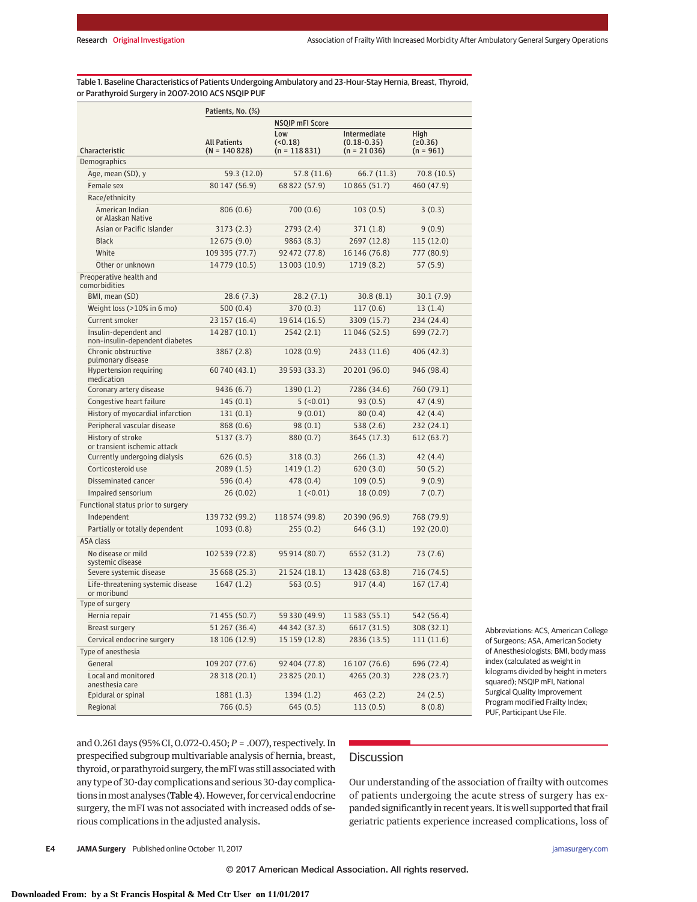Table 1. Baseline Characteristics of Patients Undergoing Ambulatory and 23-Hour-Stay Hernia, Breast, Thyroid, or Parathyroid Surgery in 2007-2010 ACS NSQIP PUF

|                                                         | Patients, No. (%)                     |                                 |                                                  |                                |
|---------------------------------------------------------|---------------------------------------|---------------------------------|--------------------------------------------------|--------------------------------|
|                                                         |                                       | <b>NSQIP mFI Score</b>          |                                                  |                                |
| Characteristic                                          | <b>All Patients</b><br>$(N = 140828)$ | Low<br>(50.18)<br>(n = 118 831) | Intermediate<br>$(0.18 - 0.35)$<br>$(n = 21036)$ | High<br>(20.36)<br>$(n = 961)$ |
| Demographics                                            |                                       |                                 |                                                  |                                |
| Age, mean (SD), y                                       | 59.3 (12.0)                           | 57.8 (11.6)                     | 66.7 (11.3)                                      | 70.8 (10.5)                    |
| Female sex                                              | 80 147 (56.9)                         | 68 822 (57.9)                   | 10865 (51.7)                                     | 460 (47.9)                     |
| Race/ethnicity                                          |                                       |                                 |                                                  |                                |
| American Indian<br>or Alaskan Native                    | 806(0.6)                              | 700(0.6)                        | 103(0.5)                                         | 3(0.3)                         |
| Asian or Pacific Islander                               | 3173 (2.3)                            | 2793(2.4)                       | 371 $(1.8)$                                      | 9(0.9)                         |
| <b>Black</b>                                            | 12 675 (9.0)                          | 9863(8.3)                       | 2697 (12.8)                                      | 115 (12.0)                     |
| White                                                   | 109 395 (77.7)                        | 92 472 (77.8)                   | 16 146 (76.8)                                    | 777 (80.9)                     |
| Other or unknown                                        | 14 779 (10.5)                         | 13 003 (10.9)                   | 1719 (8.2)                                       | 57 (5.9)                       |
| Preoperative health and<br>comorbidities                |                                       |                                 |                                                  |                                |
| BMI, mean (SD)                                          | 28.6(7.3)                             | 28.2 (7.1)                      | 30.8(8.1)                                        | 30.1(7.9)                      |
| Weight loss (>10% in 6 mo)                              | 500(0.4)                              | 370(0.3)                        | 117(0.6)                                         | 13(1.4)                        |
| Current smoker                                          | 23 157 (16.4)                         | 19 614 (16.5)                   | 3309 (15.7)                                      | 234 (24.4)                     |
| Insulin-dependent and<br>non-insulin-dependent diabetes | 14 287 (10.1)                         | 2542(2.1)                       | 11046 (52.5)                                     | 699 (72.7)                     |
| Chronic obstructive<br>pulmonary disease                | 3867 (2.8)                            | 1028(0.9)                       | 2433 (11.6)                                      | 406 (42.3)                     |
| Hypertension requiring<br>medication                    | 60 740 (43.1)                         | 39 593 (33.3)                   | 20 201 (96.0)                                    | 946 (98.4)                     |
| Coronary artery disease                                 | 9436 (6.7)                            | 1390(1.2)                       | 7286 (34.6)                                      | 760 (79.1)                     |
| Congestive heart failure                                | 145(0.1)                              | 5 (< 0.01)                      | 93(0.5)                                          | 47 (4.9)                       |
| History of myocardial infarction                        | 131(0.1)                              | 9(0.01)                         | 80(0.4)                                          | 42 (4.4)                       |
| Peripheral vascular disease                             | 868 (0.6)                             | 98(0.1)                         | 538(2.6)                                         | 232 (24.1)                     |
| History of stroke<br>or transient ischemic attack       | 5137 (3.7)                            | 880 (0.7)                       | 3645 (17.3)                                      | 612 (63.7)                     |
| Currently undergoing dialysis                           | 626(0.5)                              | 318(0.3)                        | 266(1.3)                                         | 42 (4.4)                       |
| Corticosteroid use                                      | 2089 (1.5)                            | 1419 (1.2)                      | 620(3.0)                                         | 50(5.2)                        |
| Disseminated cancer                                     | 596 (0.4)                             | 478 (0.4)                       | 109(0.5)                                         | 9(0.9)                         |
| Impaired sensorium                                      | 26(0.02)                              | $1$ (<0.01)                     | 18 (0.09)                                        | 7(0.7)                         |
| Functional status prior to surgery                      |                                       |                                 |                                                  |                                |
| Independent                                             | 139 732 (99.2)                        | 118 574 (99.8)                  | 20 390 (96.9)                                    | 768 (79.9)                     |
| Partially or totally dependent                          | 1093(0.8)                             | 255(0.2)                        | 646 (3.1)                                        | 192 (20.0)                     |
| ASA class                                               |                                       |                                 |                                                  |                                |
| No disease or mild<br>systemic disease                  | 102 539 (72.8)                        | 95 914 (80.7)                   | 6552 (31.2)                                      | 73 (7.6)                       |
| Severe systemic disease                                 | 35 668 (25.3)                         | 21 524 (18.1)                   | 13 428 (63.8)                                    | 716 (74.5)                     |
| Life-threatening systemic disease<br>or moribund        | 1647(1.2)                             | 563 (0.5)                       | 917(4.4)                                         | 167(17.4)                      |
| Type of surgery                                         |                                       |                                 |                                                  |                                |
| Hernia repair                                           | 71 455 (50.7)                         | 59 330 (49.9)                   | 11 583 (55.1)                                    | 542 (56.4)                     |
| <b>Breast surgery</b>                                   | 51 267 (36.4)                         | 44 342 (37.3)                   | 6617 (31.5)                                      | 308 (32.1)                     |
| Cervical endocrine surgery                              | 18 106 (12.9)                         | 15 159 (12.8)                   | 2836 (13.5)                                      | 111(11.6)                      |
| Type of anesthesia                                      |                                       |                                 |                                                  |                                |
| General                                                 | 109 207 (77.6)                        | 92 404 (77.8)                   | 16 107 (76.6)                                    | 696 (72.4)                     |
| Local and monitored<br>anesthesia care                  | 28 318 (20.1)                         | 23 825 (20.1)                   | 4265 (20.3)                                      | 228 (23.7)                     |
| Epidural or spinal                                      | 1881 (1.3)                            | 1394 (1.2)                      | 463 (2.2)                                        | 24(2.5)                        |
| Regional                                                | 766(0.5)                              | 645(0.5)                        | 113(0.5)                                         | 8(0.8)                         |

Abbreviations: ACS, American College of Surgeons; ASA, American Society of Anesthesiologists; BMI, body mass index (calculated as weight in kilograms divided by height in meters squared); NSQIP mFI, National Surgical Quality Improvement Program modified Frailty Index; PUF, Participant Use File.

and 0.261 days (95% CI, 0.072-0.450;*P* = .007), respectively. In prespecified subgroup multivariable analysis of hernia, breast, thyroid, or parathyroid surgery, the mFI was still associated with any type of 30-day complications and serious 30-day complications in most analyses (Table 4). However, for cervical endocrine surgery, the mFI was not associated with increased odds of serious complications in the adjusted analysis.

# **Discussion**

Our understanding of the association of frailty with outcomes of patients undergoing the acute stress of surgery has expanded significantly in recent years. It iswell supported that frail geriatric patients experience increased complications, loss of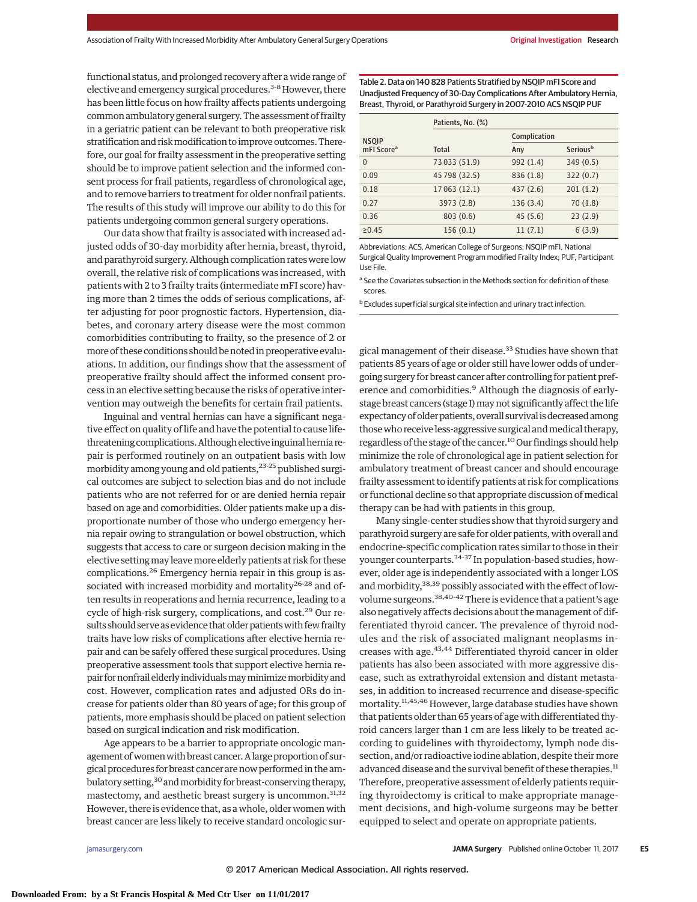functional status, and prolonged recovery after a wide range of elective and emergency surgical procedures.<sup>3-8</sup> However, there has been little focus on how frailty affects patients undergoing common ambulatory general surgery. The assessment of frailty in a geriatric patient can be relevant to both preoperative risk stratification and risk modification to improve outcomes. Therefore, our goal for frailty assessment in the preoperative setting should be to improve patient selection and the informed consent process for frail patients, regardless of chronological age, and to remove barriers to treatment for older nonfrail patients. The results of this study will improve our ability to do this for patients undergoing common general surgery operations.

Our data show that frailty is associated with increased adjusted odds of 30-day morbidity after hernia, breast, thyroid, and parathyroid surgery. Although complication rates were low overall, the relative risk of complications was increased, with patients with 2 to 3 frailty traits (intermediate mFI score) having more than 2 times the odds of serious complications, after adjusting for poor prognostic factors. Hypertension, diabetes, and coronary artery disease were the most common comorbidities contributing to frailty, so the presence of 2 or more of these conditions should be noted in preoperative evaluations. In addition, our findings show that the assessment of preoperative frailty should affect the informed consent process in an elective setting because the risks of operative intervention may outweigh the benefits for certain frail patients.

Inguinal and ventral hernias can have a significant negative effect on quality of life and have the potential to cause lifethreatening complications. Although elective inguinal hernia repair is performed routinely on an outpatient basis with low morbidity among young and old patients,  $2^{3\times25}$  published surgical outcomes are subject to selection bias and do not include patients who are not referred for or are denied hernia repair based on age and comorbidities. Older patients make up a disproportionate number of those who undergo emergency hernia repair owing to strangulation or bowel obstruction, which suggests that access to care or surgeon decision making in the elective settingmay leavemore elderly patients at risk for these complications.26 Emergency hernia repair in this group is associated with increased morbidity and mortality<sup>26-28</sup> and often results in reoperations and hernia recurrence, leading to a cycle of high-risk surgery, complications, and cost.<sup>29</sup> Our results should serve as evidence that older patients with few frailty traits have low risks of complications after elective hernia repair and can be safely offered these surgical procedures. Using preoperative assessment tools that support elective hernia repair for nonfrail elderly individuals may minimize morbidity and cost. However, complication rates and adjusted ORs do increase for patients older than 80 years of age; for this group of patients, more emphasis should be placed on patient selection based on surgical indication and risk modification.

Age appears to be a barrier to appropriate oncologic management of women with breast cancer. A large proportion of surgical procedures for breast cancer are now performed in the ambulatory setting,<sup>30</sup> and morbidity for breast-conserving therapy, mastectomy, and aesthetic breast surgery is uncommon.<sup>31,32</sup> However, there is evidence that, as a whole, older women with breast cancer are less likely to receive standard oncologic surTable 2. Data on 140 828 Patients Stratified by NSQIP mFI Score and Unadjusted Frequency of 30-Day Complications After Ambulatory Hernia, Breast, Thyroid, or Parathyroid Surgery in 2007-2010 ACS NSQIP PUF

|                        | Patients, No. (%) |              |          |  |
|------------------------|-------------------|--------------|----------|--|
| <b>NSQIP</b>           |                   | Complication |          |  |
| mFI Score <sup>a</sup> | Total             | Any          | Seriousb |  |
| $\Omega$               | 73 033 (51.9)     | 992 (1.4)    | 349(0.5) |  |
| 0.09                   | 45 798 (32.5)     | 836 (1.8)    | 322(0.7) |  |
| 0.18                   | 17 063 (12.1)     | 437(2.6)     | 201(1.2) |  |
| 0.27                   | 3973 (2.8)        | 136 (3.4)    | 70(1.8)  |  |
| 0.36                   | 803(0.6)          | 45(5.6)      | 23(2.9)  |  |
| ≥0.45                  | 156(0.1)          | 11(7.1)      | 6(3.9)   |  |

Abbreviations: ACS, American College of Surgeons; NSQIP mFI, National Surgical Quality Improvement Program modified Frailty Index; PUF, Participant Use File.

<sup>a</sup> See the Covariates subsection in the Methods section for definition of these scores.

b Excludes superficial surgical site infection and urinary tract infection.

gical management of their disease.<sup>33</sup> Studies have shown that patients 85 years of age or older still have lower odds of undergoing surgery for breast cancer after controlling for patient preference and comorbidities.<sup>9</sup> Although the diagnosis of earlystage breast cancers (stage I) may not significantly affect the life expectancy of older patients, overall survival is decreased among those who receive less-aggressive surgical and medical therapy, regardless of the stage of the cancer.<sup>10</sup> Our findings should help minimize the role of chronological age in patient selection for ambulatory treatment of breast cancer and should encourage frailty assessment to identify patients at risk for complications or functional decline so that appropriate discussion of medical therapy can be had with patients in this group.

Many single-center studies show that thyroid surgery and parathyroid surgery are safe for older patients, with overall and endocrine-specific complication rates similar to those in their younger counterparts.<sup>34-37</sup> In population-based studies, however, older age is independently associated with a longer LOS and morbidity,<sup>38,39</sup> possibly associated with the effect of lowvolume surgeons.<sup>38,40-42</sup> There is evidence that a patient's age also negatively affects decisions about themanagement of differentiated thyroid cancer. The prevalence of thyroid nodules and the risk of associated malignant neoplasms increases with age.<sup>43,44</sup> Differentiated thyroid cancer in older patients has also been associated with more aggressive disease, such as extrathyroidal extension and distant metastases, in addition to increased recurrence and disease-specific mortality.11,45,46 However, large database studies have shown that patients older than 65 years of age with differentiated thyroid cancers larger than 1 cm are less likely to be treated according to guidelines with thyroidectomy, lymph node dissection, and/or radioactive iodine ablation, despite their more advanced disease and the survival benefit of these therapies.<sup>11</sup> Therefore, preoperative assessment of elderly patients requiring thyroidectomy is critical to make appropriate management decisions, and high-volume surgeons may be better equipped to select and operate on appropriate patients.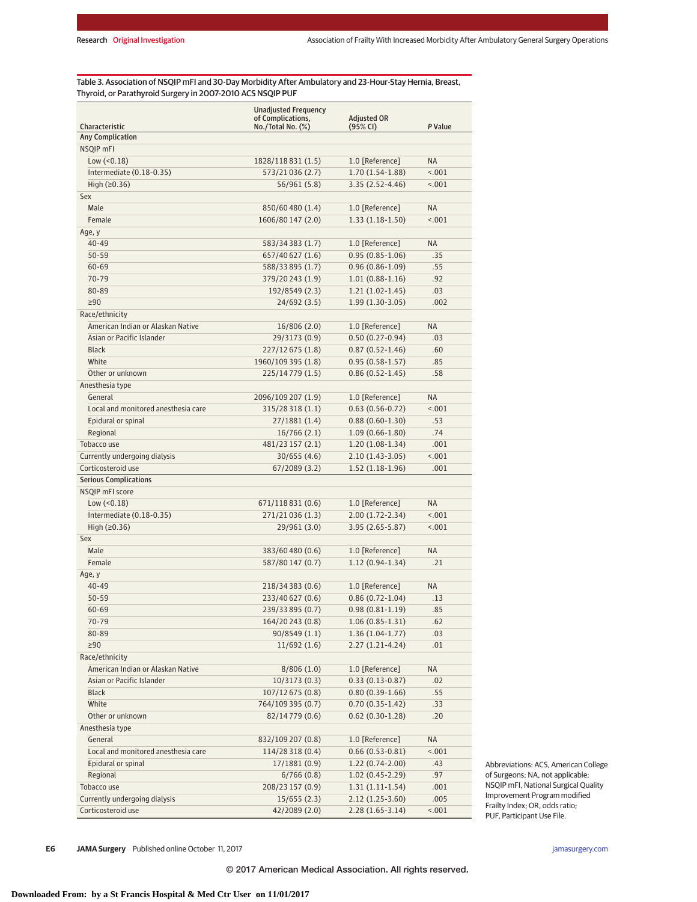Table 3. Association of NSQIP mFI and 30-Day Morbidity After Ambulatory and 23-Hour-Stay Hernia, Breast, Thyroid, or Parathyroid Surgery in 2007-2010 ACS NSQIP PUF

| Characteristic                      | <b>Unadjusted Frequency</b><br>of Complications,<br>$No./Total No.$ $(\%)$ | <b>Adjusted OR</b><br>(95% CI) | P Value   |
|-------------------------------------|----------------------------------------------------------------------------|--------------------------------|-----------|
| <b>Any Complication</b>             |                                                                            |                                |           |
| NSQIP mFI                           |                                                                            |                                |           |
| Low $(0.18)$                        | 1828/118831 (1.5)                                                          | 1.0 [Reference]                | <b>NA</b> |
| Intermediate (0.18-0.35)            | 573/21036 (2.7)                                                            | 1.70 (1.54-1.88)               | < .001    |
| High $(20.36)$                      | 56/961 (5.8)                                                               | 3.35 (2.52-4.46)               | < .001    |
| Sex                                 |                                                                            |                                |           |
| Male                                | 850/60480 (1.4)                                                            | 1.0 [Reference]                | <b>NA</b> |
| Female                              | 1606/80 147 (2.0)                                                          | $1.33(1.18-1.50)$              | < .001    |
| Age, y                              |                                                                            |                                |           |
| $40 - 49$                           | 583/34 383 (1.7)                                                           | 1.0 [Reference]                | <b>NA</b> |
| $50 - 59$                           | 657/40 627 (1.6)                                                           | $0.95(0.85-1.06)$              | .35       |
| $60 - 69$                           | 588/33895 (1.7)                                                            | $0.96(0.86 - 1.09)$            | .55       |
| 70-79                               | 379/20243 (1.9)                                                            | $1.01(0.88-1.16)$              | .92       |
| 80-89                               | 192/8549 (2.3)                                                             | $1.21(1.02-1.45)$              | .03       |
| $\geq 90$                           | 24/692 (3.5)                                                               | $1.99(1.30-3.05)$              | .002      |
| Race/ethnicity                      |                                                                            |                                |           |
| American Indian or Alaskan Native   | 16/806 (2.0)                                                               | 1.0 [Reference]                | <b>NA</b> |
| Asian or Pacific Islander           | 29/3173 (0.9)                                                              | $0.50(0.27-0.94)$              | .03       |
| <b>Black</b>                        | 227/12 675 (1.8)                                                           | $0.87(0.52 - 1.46)$            | .60       |
| White                               | 1960/109 395 (1.8)                                                         | $0.95(0.58 - 1.57)$            | .85       |
| Other or unknown                    | 225/14779 (1.5)                                                            | $0.86(0.52 - 1.45)$            | .58       |
| Anesthesia type                     |                                                                            |                                |           |
| General                             | 2096/109 207 (1.9)                                                         | 1.0 [Reference]                | <b>NA</b> |
| Local and monitored anesthesia care | 315/28 318 (1.1)                                                           | $0.63(0.56-0.72)$              | < 0.01    |
| Epidural or spinal                  | 27/1881 (1.4)                                                              | $0.88(0.60-1.30)$              | .53       |
| Regional                            | 16/766(2.1)                                                                | $1.09(0.66 - 1.80)$            | .74       |
| Tobacco use                         | 481/23 157 (2.1)                                                           | $1.20(1.08-1.34)$              | .001      |
| Currently undergoing dialysis       | 30/655(4.6)                                                                | $2.10(1.43-3.05)$              | < .001    |
| Corticosteroid use                  | 67/2089 (3.2)                                                              | $1.52(1.18-1.96)$              | .001      |
| <b>Serious Complications</b>        |                                                                            |                                |           |
| NSQIP mFI score                     |                                                                            |                                |           |
| Low (< 0.18)                        | 671/118 831 (0.6)                                                          | 1.0 [Reference]                | <b>NA</b> |
| Intermediate (0.18-0.35)            | 271/21036 (1.3)                                                            | $2.00(1.72 - 2.34)$            | < .001    |
| High $(20.36)$                      | 29/961 (3.0)                                                               | 3.95 (2.65-5.87)               | < .001    |
| Sex                                 |                                                                            |                                |           |
| Male                                | 383/60480 (0.6)                                                            | 1.0 [Reference]                | <b>NA</b> |
| Female                              | 587/80 147 (0.7)                                                           | 1.12 (0.94-1.34)               | .21       |
| Age, y                              |                                                                            |                                |           |
| $40 - 49$                           | 218/34 383 (0.6)                                                           | 1.0 [Reference]                | <b>NA</b> |
| $50 - 59$                           | 233/40 627 (0.6)                                                           | $0.86(0.72 - 1.04)$            | .13       |
| 60-69                               | 239/33895 (0.7)                                                            | $0.98(0.81 - 1.19)$            | .85       |
| 70-79                               | 164/20243 (0.8)                                                            | $1.06(0.85-1.31)$              | .62       |
| 80-89                               | 90/8549 (1.1)                                                              | $1.36(1.04-1.77)$              | .03       |
| $\geq 90$                           | 11/692(1.6)                                                                | 2.27 (1.21-4.24)               | .01       |
| Race/ethnicity                      |                                                                            |                                |           |
| American Indian or Alaskan Native   | 8/806(1.0)                                                                 | 1.0 [Reference]                | NA        |
| Asian or Pacific Islander           | 10/3173(0.3)                                                               | $0.33(0.13 - 0.87)$            | .02       |
| <b>Black</b>                        | 107/12 675 (0.8)                                                           | $0.80(0.39-1.66)$              | .55       |
| White                               | 764/109 395 (0.7)                                                          | $0.70(0.35-1.42)$              | .33       |
| Other or unknown                    | 82/14 779 (0.6)                                                            | $0.62(0.30-1.28)$              | .20       |
| Anesthesia type                     |                                                                            |                                |           |
| General                             | 832/109 207 (0.8)                                                          | 1.0 [Reference]                | NA        |
| Local and monitored anesthesia care | 114/28 318 (0.4)                                                           | $0.66(0.53-0.81)$              | 1001      |
| Epidural or spinal                  | 17/1881 (0.9)                                                              | $1.22(0.74-2.00)$              | .43       |
| Regional                            | 6/766(0.8)                                                                 | $1.02(0.45 - 2.29)$            | .97       |
| Tobacco use                         | 208/23 157 (0.9)                                                           | $1.31(1.11-1.54)$              | .001      |
| Currently undergoing dialysis       | 15/655(2.3)                                                                | $2.12(1.25-3.60)$              | .005      |
| Corticosteroid use                  | 42/2089 (2.0)                                                              | $2.28(1.65-3.14)$              | < .001    |

Abbreviations: ACS, American College of Surgeons; NA, not applicable; NSQIP mFI, National Surgical Quality Improvement Program modified Frailty Index; OR, odds ratio; PUF, Participant Use File.

**E6 JAMA Surgery** Published online October 11, 2017 **(Reprinted)** in the state of the state of the state of the state of the state of the state of the state of the state of the state of the state of the state of the state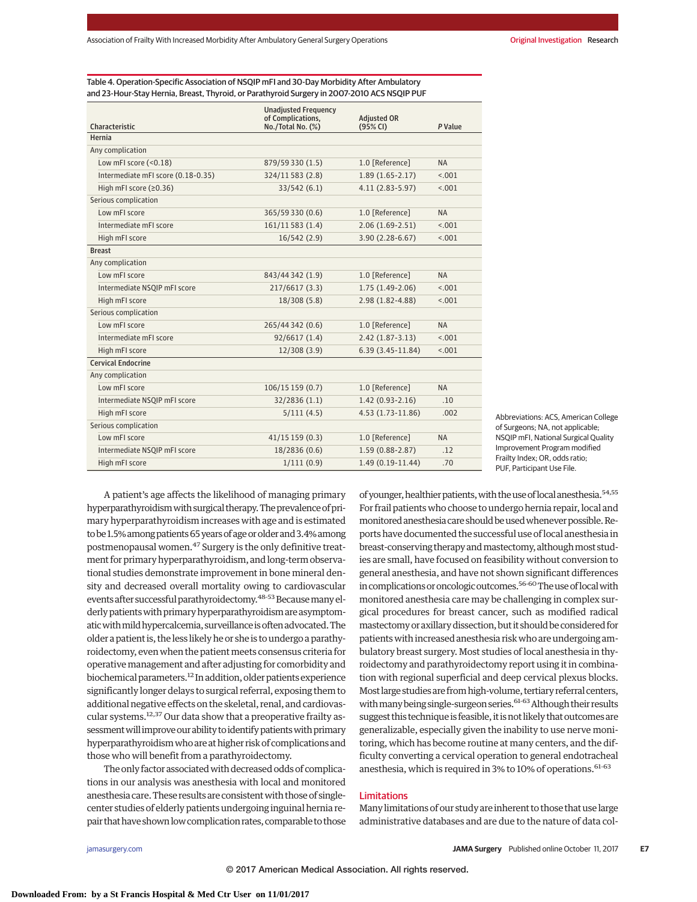Table 4. Operation-Specific Association of NSQIP mFI and 30-Day Morbidity After Ambulatory and 23-Hour-Stay Hernia, Breast, Thyroid, or Parathyroid Surgery in 2007-2010 ACS NSQIP PUF

|                                    | <b>Unadjusted Frequency</b><br>of Complications. | <b>Adiusted OR</b>  |           |
|------------------------------------|--------------------------------------------------|---------------------|-----------|
| Characteristic                     | No./Total No. (%)                                | (95% CI)            | P Value   |
| Hernia                             |                                                  |                     |           |
| Any complication                   |                                                  |                     |           |
| Low mFI score (<0.18)              | 879/59 330 (1.5)                                 | 1.0 [Reference]     | <b>NA</b> |
| Intermediate mFI score (0.18-0.35) | 324/11583 (2.8)                                  | $1.89(1.65 - 2.17)$ | < 0.01    |
| High mFI score (≥0.36)             | 33/542(6.1)                                      | $4.11(2.83 - 5.97)$ | < 0.01    |
| Serious complication               |                                                  |                     |           |
| Low mFI score                      | 365/59 330 (0.6)                                 | 1.0 [Reference]     | <b>NA</b> |
| Intermediate mFI score             | 161/11583 (1.4)                                  | $2.06(1.69-2.51)$   | < 0.01    |
| High mFI score                     | 16/542(2.9)                                      | 3.90 (2.28-6.67)    | < .001    |
| <b>Breast</b>                      |                                                  |                     |           |
| Any complication                   |                                                  |                     |           |
| Low mFI score                      | 843/44342 (1.9)                                  | 1.0 [Reference]     | <b>NA</b> |
| Intermediate NSQIP mFI score       | 217/6617 (3.3)                                   | $1.75(1.49-2.06)$   | < .001    |
| High mFI score                     | 18/308 (5.8)                                     | 2.98 (1.82-4.88)    | < .001    |
| Serious complication               |                                                  |                     |           |
| Low mFI score                      | 265/44 342 (0.6)                                 | 1.0 [Reference]     | <b>NA</b> |
| Intermediate mFI score             | 92/6617 (1.4)                                    | $2.42(1.87 - 3.13)$ | < .001    |
| High mFI score                     | 12/308 (3.9)                                     | 6.39 (3.45-11.84)   | 15.001    |
| <b>Cervical Endocrine</b>          |                                                  |                     |           |
| Any complication                   |                                                  |                     |           |
| Low mFI score                      | 106/15 159 (0.7)                                 | 1.0 [Reference]     | <b>NA</b> |
| Intermediate NSQIP mFI score       | 32/2836 (1.1)                                    | $1.42(0.93-2.16)$   | .10       |
| High mFI score                     | 5/111(4.5)                                       | 4.53 (1.73-11.86)   | .002      |
| Serious complication               |                                                  |                     |           |
| Low mFI score                      | 41/15159(0.3)                                    | 1.0 [Reference]     | <b>NA</b> |
| Intermediate NSQIP mFI score       | 18/2836 (0.6)                                    | $1.59(0.88 - 2.87)$ | .12       |
| High mFI score                     | 1/111(0.9)                                       | 1.49 (0.19-11.44)   | .70       |

Abbreviations: ACS, American College of Surgeons; NA, not applicable; NSQIP mFI, National Surgical Quality Improvement Program modified Frailty Index; OR, odds ratio; PUF, Participant Use File.

A patient's age affects the likelihood of managing primary hyperparathyroidism with surgical therapy. The prevalence of primary hyperparathyroidism increases with age and is estimated to be 1.5% among patients 65 years of age or older and 3.4% among postmenopausal women.47 Surgery is the only definitive treatment for primary hyperparathyroidism, and long-term observational studies demonstrate improvement in bone mineral density and decreased overall mortality owing to cardiovascular events after successful parathyroidectomy.<sup>48-53</sup> Because many elderly patients with primary hyperparathyroidism are asymptomatic with mild hypercalcemia, surveillance is often advocated. The older a patient is, the less likely he or she is to undergo a parathyroidectomy, even when the patient meets consensus criteria for operative management and after adjusting for comorbidity and biochemical parameters.12 In addition, older patients experience significantly longer delays to surgical referral, exposing them to additional negative effects on the skeletal, renal, and cardiovascular systems.12,37 Our data show that a preoperative frailty assessment will improve our ability to identify patients with primary hyperparathyroidism who are at higher risk of complications and those who will benefit from a parathyroidectomy.

The only factor associated with decreased odds of complications in our analysis was anesthesia with local and monitored anesthesia care. These results are consistent with those of singlecenter studies of elderly patients undergoing inguinal hernia repair that have shown low complication rates, comparable to those

of younger, healthier patients, with the use of local anesthesia.<sup>54,55</sup> For frail patients who choose to undergo hernia repair, local and monitored anesthesia care should be used whenever possible. Reports have documented the successful use of local anesthesia in breast-conserving therapy and mastectomy, although most studies are small, have focused on feasibility without conversion to general anesthesia, and have not shown significant differences in complications or oncologic outcomes.<sup>56-60</sup> The use of local with monitored anesthesia care may be challenging in complex surgical procedures for breast cancer, such as modified radical mastectomy or axillary dissection, but it should be considered for patients with increased anesthesia risk who are undergoing ambulatory breast surgery. Most studies of local anesthesia in thyroidectomy and parathyroidectomy report using it in combination with regional superficial and deep cervical plexus blocks. Most large studies are from high-volume, tertiary referral centers, with many being single-surgeon series.<sup>61-63</sup> Although their results suggest this technique is feasible, it is not likely that outcomes are generalizable, especially given the inability to use nerve monitoring, which has become routine at many centers, and the difficulty converting a cervical operation to general endotracheal anesthesia, which is required in 3% to 10% of operations. 61-63

## Limitations

Many limitations of our study are inherent to those that use large administrative databases and are due to the nature of data col-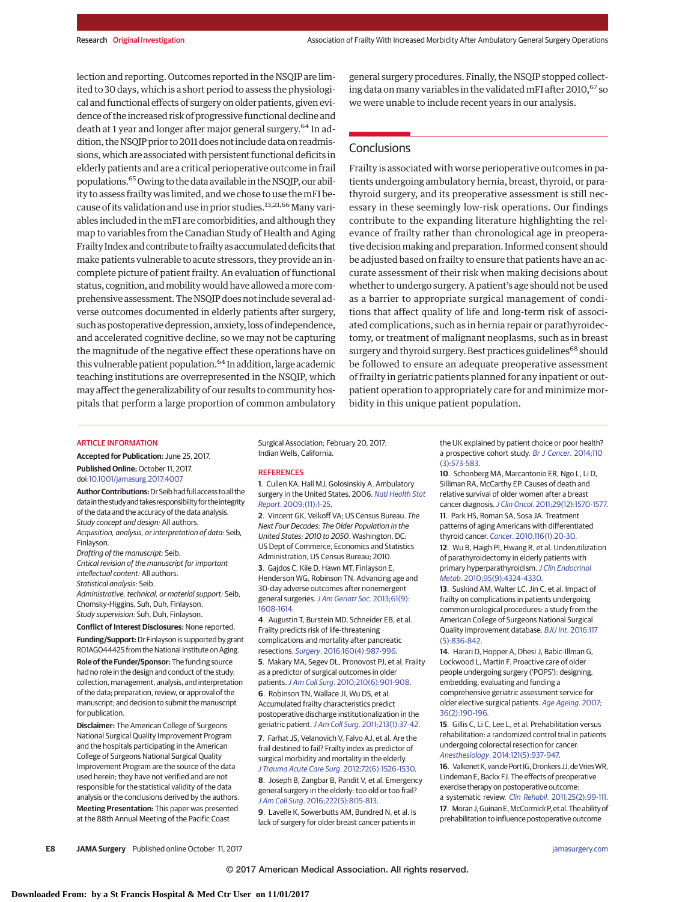lection and reporting. Outcomes reported in the NSQIP are limited to 30 days, which is a short period to assess the physiological and functional effects of surgery on older patients, given evidence of the increased risk of progressive functional decline and death at 1 year and longer after major general surgery.<sup>64</sup> In addition, the NSQIP prior to 2011 does not include data on readmissions, which are associated with persistent functional deficits in elderly patients and are a critical perioperative outcome in frail populations.<sup>65</sup> Owing to the data available in the NSQIP, our ability to assess frailty was limited, and we chose to use themFI because of its validation and use in prior studies.<sup>13,21,66</sup> Many variables included in themFI are comorbidities, and although they map to variables from the Canadian Study of Health and Aging Frailty Index and contribute to frailty as accumulated deficits that make patients vulnerable to acute stressors, they provide an incomplete picture of patient frailty. An evaluation of functional status, cognition, andmobilitywould have allowed amore comprehensive assessment. The NSQIP does not include several adverse outcomes documented in elderly patients after surgery, such as postoperative depression, anxiety, loss of independence, and accelerated cognitive decline, so we may not be capturing the magnitude of the negative effect these operations have on this vulnerable patient population.<sup>64</sup> In addition, large academic teaching institutions are overrepresented in the NSQIP, which may affect the generalizability of our results to community hospitals that perform a large proportion of common ambulatory

general surgery procedures. Finally, the NSQIP stopped collecting data on many variables in the validated mFI after  $2010<sup>67</sup>$  so we were unable to include recent years in our analysis.

## **Conclusions**

Frailty is associated with worse perioperative outcomes in patients undergoing ambulatory hernia, breast, thyroid, or parathyroid surgery, and its preoperative assessment is still necessary in these seemingly low-risk operations. Our findings contribute to the expanding literature highlighting the relevance of frailty rather than chronological age in preoperative decision making and preparation. Informed consent should be adjusted based on frailty to ensure that patients have an accurate assessment of their risk when making decisions about whether to undergo surgery. A patient's age should not be used as a barrier to appropriate surgical management of conditions that affect quality of life and long-term risk of associated complications, such as in hernia repair or parathyroidectomy, or treatment of malignant neoplasms, such as in breast surgery and thyroid surgery. Best practices guidelines<sup>68</sup> should be followed to ensure an adequate preoperative assessment of frailty in geriatric patients planned for any inpatient or outpatient operation to appropriately care for and minimize morbidity in this unique patient population.

#### ARTICLE INFORMATION

**Accepted for Publication:** June 25, 2017. **Published Online:** October 11, 2017. doi[:10.1001/jamasurg.2017.4007](http://jama.jamanetwork.com/article.aspx?doi=10.1001/jamasurg.2017.4007&utm_campaign=articlePDF%26utm_medium=articlePDFlink%26utm_source=articlePDF%26utm_content=jamasurg.2017.4007)

**AuthorContributions:**DrSeib had fullaccess toall the data in the study and takes responsibility for the integrity of the data and the accuracy of the data analysis. Study concept and design: All authors. Acquisition, analysis, or interpretation of data: Seib, Finlayson.

Drafting of the manuscript: Seib.

Critical revision of the manuscript for important intellectual content: All authors. Statistical analysis: Seib.

Administrative, technical, or material support: Seib, Chomsky-Higgins, Suh, Duh, Finlayson. Study supervision: Suh, Duh, Finlayson.

**Conflict of Interest Disclosures:** None reported. **Funding/Support:**Dr Finlayson is supported by grant

R01AG044425 from the National Institute on Aging.

**Role of the Funder/Sponsor:** The funding source had no role in the design and conduct of the study; collection, management, analysis, and interpretation of the data; preparation, review, or approval of the manuscript; and decision to submit the manuscript for publication.

**Disclaimer:** The American College of Surgeons National Surgical Quality Improvement Program and the hospitals participating in the American College of Surgeons National Surgical Quality Improvement Program are the source of the data used herein; they have not verified and are not responsible for the statistical validity of the data analysis or the conclusions derived by the authors. **Meeting Presentation:** This paper was presented at the 88th Annual Meeting of the Pacific Coast

Surgical Association; February 20, 2017; Indian Wells, California.

#### **REFERENCES**

**1**. Cullen KA, Hall MJ, Golosinskiy A. Ambulatory surgery in the United States, 2006. [Natl Health Stat](https://www.ncbi.nlm.nih.gov/pubmed/19294964) Report[. 2009;\(11\):1-25.](https://www.ncbi.nlm.nih.gov/pubmed/19294964)

**2**. Vincent GK, Velkoff VA; US Census Bureau. The Next Four Decades: The Older Population in the United States: 2010 to 2050. Washington, DC: US Dept of Commerce, Economics and Statistics Administration, US Census Bureau; 2010. **3**. Gajdos C, Kile D, Hawn MT, Finlayson E, Henderson WG, Robinson TN. Advancing age and 30-day adverse outcomes after nonemergent general surgeries. [J Am Geriatr Soc](https://www.ncbi.nlm.nih.gov/pubmed/23927841). 2013;61(9): [1608-1614.](https://www.ncbi.nlm.nih.gov/pubmed/23927841)

**4**. Augustin T, Burstein MD, Schneider EB, et al. Frailty predicts risk of life-threatening complications and mortality after pancreatic resections. Surgery[. 2016;160\(4\):987-996.](https://www.ncbi.nlm.nih.gov/pubmed/27545992)

**5**. Makary MA, Segev DL, Pronovost PJ, et al. Frailty as a predictor of surgical outcomes in older patients.J Am Coll Surg[. 2010;210\(6\):901-908.](https://www.ncbi.nlm.nih.gov/pubmed/20510798) **6**. Robinson TN, Wallace JI, Wu DS, et al. Accumulated frailty characteristics predict postoperative discharge institutionalization in the geriatric patient. J Am Coll Surg[. 2011;213\(1\):37-42.](https://www.ncbi.nlm.nih.gov/pubmed/21435921)

**7**. Farhat JS, Velanovich V, Falvo AJ, et al. Are the frail destined to fail? Frailty index as predictor of surgical morbidity and mortality in the elderly. [J Trauma Acute Care Surg](https://www.ncbi.nlm.nih.gov/pubmed/22695416). 2012;72(6):1526-1530. **8**. Joseph B, Zangbar B, Pandit V, et al. Emergency general surgery in the elderly: too old or too frail? J Am Coll Surg[. 2016;222\(5\):805-813.](https://www.ncbi.nlm.nih.gov/pubmed/27113515)

**9**. Lavelle K, Sowerbutts AM, Bundred N, et al. Is lack of surgery for older breast cancer patients in

the UK explained by patient choice or poor health? a prospective cohort study. [Br J Cancer](https://www.ncbi.nlm.nih.gov/pubmed/24292450). 2014;110 [\(3\):573-583.](https://www.ncbi.nlm.nih.gov/pubmed/24292450)

**10**. Schonberg MA, Marcantonio ER, Ngo L, Li D, Silliman RA, McCarthy EP. Causes of death and relative survival of older women after a breast cancer diagnosis.J Clin Oncol[. 2011;29\(12\):1570-1577.](https://www.ncbi.nlm.nih.gov/pubmed/21402602) **11**. Park HS, Roman SA, Sosa JA. Treatment patterns of aging Americans with differentiated thyroid cancer. Cancer[. 2010;116\(1\):20-30.](https://www.ncbi.nlm.nih.gov/pubmed/19908255) **12**. Wu B, Haigh PI, Hwang R, et al. Underutilization of parathyroidectomy in elderly patients with primary hyperparathyroidism. [J Clin Endocrinol](https://www.ncbi.nlm.nih.gov/pubmed/20610600) Metab[. 2010;95\(9\):4324-4330.](https://www.ncbi.nlm.nih.gov/pubmed/20610600)

**13**. Suskind AM, Walter LC, Jin C, et al. Impact of frailty on complications in patients undergoing common urological procedures: a study from the American College of Surgeons National Surgical Quality Improvement database. BJU Int[. 2016;117](https://www.ncbi.nlm.nih.gov/pubmed/26691588) [\(5\):836-842.](https://www.ncbi.nlm.nih.gov/pubmed/26691588)

**14**. Harari D, Hopper A, Dhesi J, Babic-Illman G, Lockwood L, Martin F. Proactive care of older people undergoing surgery ('POPS'): designing, embedding, evaluating and funding a comprehensive geriatric assessment service for older elective surgical patients. [Age Ageing](https://www.ncbi.nlm.nih.gov/pubmed/17259638). 2007; [36\(2\):190-196.](https://www.ncbi.nlm.nih.gov/pubmed/17259638)

**15**. Gillis C, Li C, Lee L, et al. Prehabilitation versus rehabilitation: a randomized control trial in patients undergoing colorectal resection for cancer. Anesthesiology[. 2014;121\(5\):937-947.](https://www.ncbi.nlm.nih.gov/pubmed/25076007)

16. Valkenet K, van de Port IG, Dronkers JJ, de Vries WR, Lindeman E, Backx FJ. The effects of preoperative exercise therapy on postoperative outcome: a systematic review. Clin Rehabil[. 2011;25\(2\):99-111.](https://www.ncbi.nlm.nih.gov/pubmed/21059667) 17. Moran J, Guinan E, McCormick P, et al. The ability of prehabilitation to influence postoperative outcome